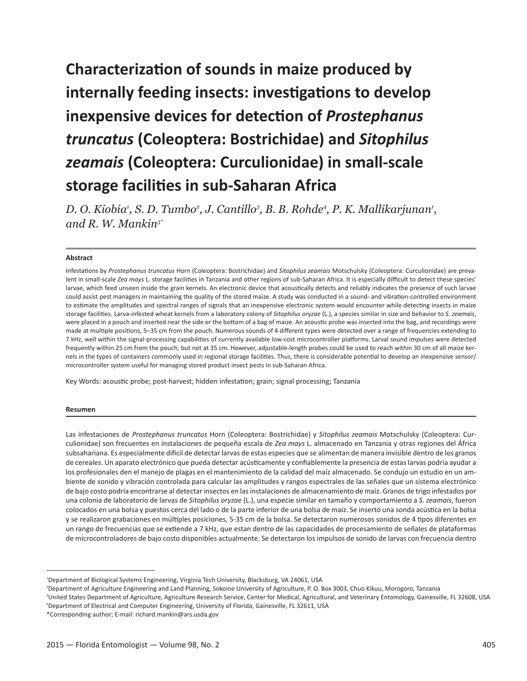# **Characterization of sounds in maize produced by internally feeding insects: investigations to develop inexpensive devices for detection of** *Prostephanus truncatus* **(Coleoptera: Bostrichidae) and** *Sitophilus zeamais* **(Coleoptera: Curculionidae) in small-scale storage facilities in sub-Saharan Africa**

*D. O. Kiobia<sup>1</sup>, S. D. Tumbo<sup>2</sup>, J. Cantillo<sup>3</sup>, B. B. Rohde<sup>4</sup>, P. K. Mallikarjunan<sup>1</sup>, and R. W. Mankin3\**

#### **Abstract**

Infestations by *Prostephanus truncatus* Horn (Coleoptera: Bostrichidae) and *Sitophilus zeamais* Motschulsky (Coleoptera: Curculionidae) are prevalent in small-scale *Zea mays* L. storage facilities in Tanzania and other regions of sub-Saharan Africa. It is especially difficult to detect these species' larvae, which feed unseen inside the grain kernels. An electronic device that acoustically detects and reliably indicates the presence of such larvae could assist pest managers in maintaining the quality of the stored maize. A study was conducted in a sound- and vibration-controlled environment to estimate the amplitudes and spectral ranges of signals that an inexpensive electronic system would encounter while detecting insects in maize storage facilities. Larva-infested wheat kernels from a laboratory colony of *Sitophilus oryzae* (L.), a species similar in size and behavior to *S. zeamais*, were placed in a pouch and inserted near the side or the bottom of a bag of maize. An acoustic probe was inserted into the bag, and recordings were made at multiple positions, 5–35 cm from the pouch. Numerous sounds of 4 different types were detected over a range of frequencies extending to 7 kHz, well within the signal-processing capabilities of currently available low-cost microcontroller platforms. Larval sound impulses were detected frequently within 25 cm from the pouch, but not at 35 cm. However, adjustable-length probes could be used to reach within 30 cm of all maize kernels in the types of containers commonly used in regional storage facilities. Thus, there is considerable potential to develop an inexpensive sensor/ microcontroller system useful for managing stored product insect pests in sub-Saharan Africa.

Key Words: acoustic probe; post-harvest; hidden infestation; grain; signal processing; Tanzania

#### **Resumen**

Las infestaciones de *Prostephanus truncatus* Horn (Coleoptera: Bostrichidae) y *Sitophilus zeamais* Motschulsky (Coleoptera: Curculionidae) son frecuentes en instalaciones de pequeña escala de *Zea mays* L. almacenado en Tanzania y otras regiones del África subsahariana. Es especialmente difícil de detectar larvas de estas especies que se alimentan de manera invisible dentro de los granos de cereales. Un aparato electrónico que pueda detectar acústicamente y confiablemente la presencia de estas larvas podría ayudar a los profesionales den el manejo de plagas en el mantenimiento de la calidad del maíz almacenado. Se condujo un estudio en un ambiente de sonido y vibración controlada para calcular las amplitudes y rangos espectrales de las señales que un sistema electrónico de bajo costo podría encontrarse al detectar insectos en las instalaciones de almacenamiento de maíz. Granos de trigo infestados por una colonia de laboratorio de larvas de *Sitophilus oryzae* (L.), una especie similar en tamaño y comportamiento a *S. zeamais*, fueron colocados en una bolsa y puestos cerca del lado o de la parte inferior de una bolsa de maíz. Se insertó una sonda acústica en la bolsa y se realizaron grabaciones en múltiples posiciones, 5-35 cm de la bolsa. Se detectaron numerosos sonidos de 4 tipos diferentes en un rango de frecuencias que se extiende a 7 kHz, que estan dentro de las capacidades de procesamiento de señales de plataformas de microcontroladores de bajo costo disponibles actualmente. Se detectaron los impulsos de sonido de larvas con frecuencia dentro

<sup>1</sup> Department of Biological Systems Engineering, Virginia Tech University, Blacksburg, VA 24061, USA

<sup>2</sup> Department of Agriculture Engineering and Land Planning, Sokoine University of Agriculture, P. O. Box 3003, Chuo Kikuu, Morogoro, Tanzania

<sup>&</sup>lt;sup>3</sup>United States Department of Agriculture, Agriculture Research Service, Center for Medical, Agricultural, and Veterinary Entomology, Gainesville, FL 32608, USA 4 Department of Electrical and Computer Engineering, University of Florida, Gainesville, FL 32611, USA

<sup>\*</sup>Corresponding author; E-mail: richard.mankin@ars.usda.gov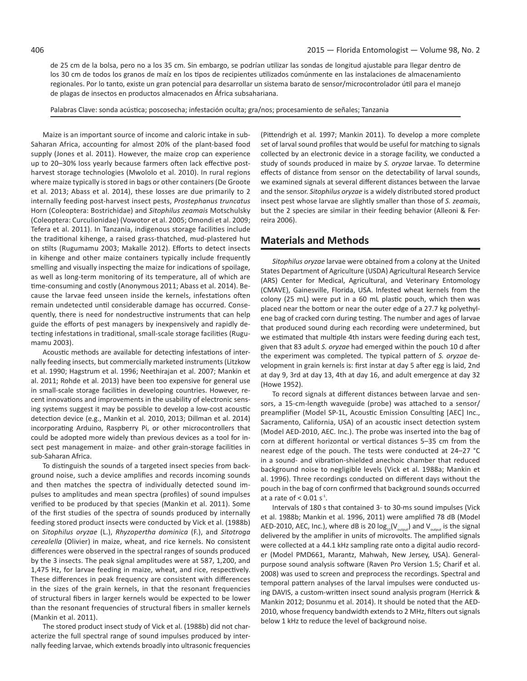de 25 cm de la bolsa, pero no a los 35 cm. Sin embargo, se podrían utilizar las sondas de longitud ajustable para llegar dentro de los 30 cm de todos los granos de maíz en los tipos de recipientes utilizados comúnmente en las instalaciones de almacenamiento regionales. Por lo tanto, existe un gran potencial para desarrollar un sistema barato de sensor/microcontrolador útil para el manejo de plagas de insectos en productos almacenados en África subsahariana.

Palabras Clave: sonda acústica; poscosecha; infestación oculta; gra/nos; procesamiento de señales; Tanzania

Maize is an important source of income and caloric intake in sub-Saharan Africa, accounting for almost 20% of the plant-based food supply (Jones et al. 2011). However, the maize crop can experience up to 20–30% loss yearly because farmers often lack effective postharvest storage technologies (Mwololo et al. 2010). In rural regions where maize typically is stored in bags or other containers (De Groote et al. 2013; Abass et al. 2014), these losses are due primarily to 2 internally feeding post-harvest insect pests, *Prostephanus truncatus* Horn (Coleoptera: Bostrichidae) and *Sitophilus zeamais* Motschulsky (Coleoptera: Curculionidae) (Vowotor et al. 2005; Omondi et al. 2009; Tefera et al. 2011). In Tanzania, indigenous storage facilities include the traditional kihenge, a raised grass-thatched, mud-plastered hut on stilts (Rugumamu 2003; Makalle 2012). Efforts to detect insects in kihenge and other maize containers typically include frequently smelling and visually inspecting the maize for indications of spoilage, as well as long-term monitoring of its temperature, all of which are time-consuming and costly (Anonymous 2011; Abass et al. 2014). Because the larvae feed unseen inside the kernels, infestations often remain undetected until considerable damage has occurred. Consequently, there is need for nondestructive instruments that can help guide the efforts of pest managers by inexpensively and rapidly detecting infestations in traditional, small-scale storage facilities (Rugumamu 2003).

Acoustic methods are available for detecting infestations of internally feeding insects, but commercially marketed instruments (Litzkow et al. 1990; Hagstrum et al. 1996; Neethirajan et al. 2007; Mankin et al. 2011; Rohde et al. 2013) have been too expensive for general use in small-scale storage facilities in developing countries. However, recent innovations and improvements in the usability of electronic sensing systems suggest it may be possible to develop a low-cost acoustic detection device (e.g., Mankin et al. 2010, 2013; Dillman et al. 2014) incorporating Arduino, Raspberry Pi, or other microcontrollers that could be adopted more widely than previous devices as a tool for insect pest management in maize- and other grain-storage facilities in sub-Saharan Africa.

To distinguish the sounds of a targeted insect species from background noise, such a device amplifies and records incoming sounds and then matches the spectra of individually detected sound impulses to amplitudes and mean spectra (profiles) of sound impulses verified to be produced by that species (Mankin et al. 2011). Some of the first studies of the spectra of sounds produced by internally feeding stored product insects were conducted by Vick et al. (1988b) on *Sitophilus oryzae* (L.), *Rhyzopertha dominica* (F.), and *Sitotroga cerealella* (Olivier) in maize, wheat, and rice kernels. No consistent differences were observed in the spectral ranges of sounds produced by the 3 insects. The peak signal amplitudes were at 587, 1,200, and 1,475 Hz, for larvae feeding in maize, wheat, and rice, respectively. These differences in peak frequency are consistent with differences in the sizes of the grain kernels, in that the resonant frequencies of structural fibers in larger kernels would be expected to be lower than the resonant frequencies of structural fibers in smaller kernels (Mankin et al. 2011).

The stored product insect study of Vick et al. (1988b) did not characterize the full spectral range of sound impulses produced by internally feeding larvae, which extends broadly into ultrasonic frequencies

(Pittendrigh et al. 1997; Mankin 2011). To develop a more complete set of larval sound profiles that would be useful for matching to signals collected by an electronic device in a storage facility, we conducted a study of sounds produced in maize by *S. oryzae* larvae. To determine effects of distance from sensor on the detectability of larval sounds, we examined signals at several different distances between the larvae and the sensor. *Sitophilus oryzae* is a widely distributed stored product insect pest whose larvae are slightly smaller than those of *S. zeamais*, but the 2 species are similar in their feeding behavior (Alleoni & Ferreira 2006).

## **Materials and Methods**

*Sitophilus oryzae* larvae were obtained from a colony at the United States Department of Agriculture (USDA) Agricultural Research Service (ARS) Center for Medical, Agricultural, and Veterinary Entomology (CMAVE), Gainesville, Florida, USA. Infested wheat kernels from the colony (25 mL) were put in a 60 mL plastic pouch, which then was placed near the bottom or near the outer edge of a 27.7 kg polyethylene bag of cracked corn during testing. The number and ages of larvae that produced sound during each recording were undetermined, but we estimated that multiple 4th instars were feeding during each test, given that 83 adult *S. oryzae* had emerged within the pouch 10 d after the experiment was completed. The typical pattern of *S. oryzae* development in grain kernels is: first instar at day 5 after egg is laid, 2nd at day 9, 3rd at day 13, 4th at day 16, and adult emergence at day 32 (Howe 1952).

To record signals at different distances between larvae and sensors, a 15-cm-length waveguide (probe) was attached to a sensor/ preamplifier (Model SP-1L, Acoustic Emission Consulting [AEC] Inc., Sacramento, California, USA) of an acoustic insect detection system (Model AED-2010, AEC. Inc.). The probe was inserted into the bag of corn at different horizontal or vertical distances 5–35 cm from the nearest edge of the pouch. The tests were conducted at 24–27 °C in a sound- and vibration-shielded anechoic chamber that reduced background noise to negligible levels (Vick et al. 1988a; Mankin et al. 1996). Three recordings conducted on different days without the pouch in the bag of corn confirmed that background sounds occurred at a rate of  $< 0.01$  s<sup>-1</sup>.

Intervals of 180 s that contained 3- to 30-ms sound impulses (Vick et al. 1988b; Mankin et al. 1996, 2011) were amplified 78 dB (Model AED-2010, AEC, Inc.), where dB is 20  $log_{10}(V_{\text{output}})$  and  $V_{\text{output}}$  is the signal delivered by the amplifier in units of microvolts. The amplified signals were collected at a 44.1 kHz sampling rate onto a digital audio recorder (Model PMD661, Marantz, Mahwah, New Jersey, USA). Generalpurpose sound analysis software (Raven Pro Version 1.5; Charif et al. 2008) was used to screen and preprocess the recordings. Spectral and temporal pattern analyses of the larval impulses were conducted using DAVIS, a custom-written insect sound analysis program (Herrick & Mankin 2012; Dosunmu et al. 2014). It should be noted that the AED-2010, whose frequency bandwidth extends to 2 MHz, filters out signals below 1 kHz to reduce the level of background noise.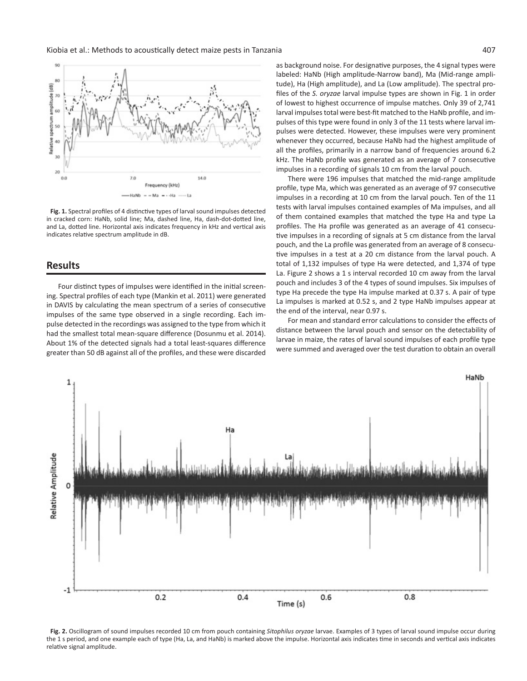Kiobia et al.: Methods to acoustically detect maize pests in Tanzania 407



**Fig. 1.** Spectral profiles of 4 distinctive types of larval sound impulses detected in cracked corn: HaNb, solid line; Ma, dashed line, Ha, dash-dot-dotted line, and La, dotted line. Horizontal axis indicates frequency in kHz and vertical axis indicates relative spectrum amplitude in dB.

## **Results**

Four distinct types of impulses were identified in the initial screening. Spectral profiles of each type (Mankin et al. 2011) were generated in DAVIS by calculating the mean spectrum of a series of consecutive impulses of the same type observed in a single recording. Each impulse detected in the recordings was assigned to the type from which it had the smallest total mean-square difference (Dosunmu et al. 2014). About 1% of the detected signals had a total least-squares difference greater than 50 dB against all of the profiles, and these were discarded as background noise. For designative purposes, the 4 signal types were labeled: HaNb (High amplitude-Narrow band), Ma (Mid-range amplitude), Ha (High amplitude), and La (Low amplitude). The spectral profiles of the *S. oryzae* larval impulse types are shown in Fig. 1 in order of lowest to highest occurrence of impulse matches. Only 39 of 2,741 larval impulses total were best-fit matched to the HaNb profile, and impulses of this type were found in only 3 of the 11 tests where larval impulses were detected. However, these impulses were very prominent whenever they occurred, because HaNb had the highest amplitude of all the profiles, primarily in a narrow band of frequencies around 6.2 kHz. The HaNb profile was generated as an average of 7 consecutive impulses in a recording of signals 10 cm from the larval pouch.

There were 196 impulses that matched the mid-range amplitude profile, type Ma, which was generated as an average of 97 consecutive impulses in a recording at 10 cm from the larval pouch. Ten of the 11 tests with larval impulses contained examples of Ma impulses, and all of them contained examples that matched the type Ha and type La profiles. The Ha profile was generated as an average of 41 consecutive impulses in a recording of signals at 5 cm distance from the larval pouch, and the La profile was generated from an average of 8 consecutive impulses in a test at a 20 cm distance from the larval pouch. A total of 1,132 impulses of type Ha were detected, and 1,374 of type La. Figure 2 shows a 1 s interval recorded 10 cm away from the larval pouch and includes 3 of the 4 types of sound impulses. Six impulses of type Ha precede the type Ha impulse marked at 0.37 s. A pair of type La impulses is marked at 0.52 s, and 2 type HaNb impulses appear at the end of the interval, near 0.97 s.

For mean and standard error calculations to consider the effects of distance between the larval pouch and sensor on the detectability of larvae in maize, the rates of larval sound impulses of each profile type were summed and averaged over the test duration to obtain an overall



**Fig. 2.** Oscillogram of sound impulses recorded 10 cm from pouch containing *Sitophilus oryzae* larvae. Examples of 3 types of larval sound impulse occur during the 1 s period, and one example each of type (Ha, La, and HaNb) is marked above the impulse. Horizontal axis indicates time in seconds and vertical axis indicates relative signal amplitude.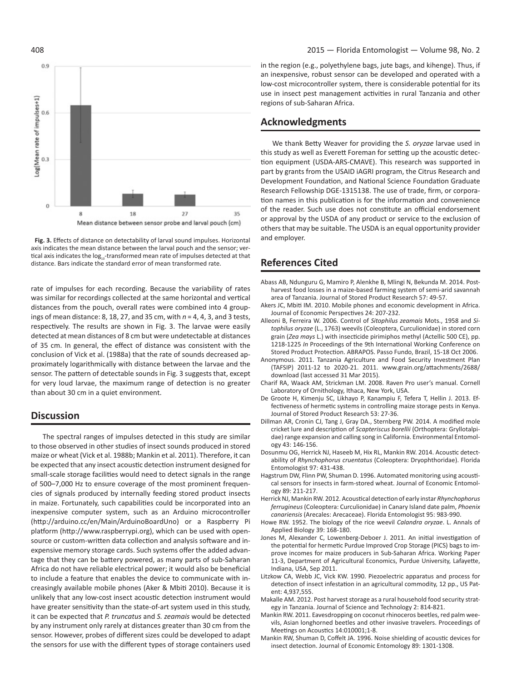



rate of impulses for each recording. Because the variability of rates was similar for recordings collected at the same horizontal and vertical distances from the pouch, overall rates were combined into 4 groupings of mean distance: 8, 18, 27, and 35 cm, with *n* = 4, 4, 3, and 3 tests, respectively. The results are shown in Fig. 3. The larvae were easily detected at mean distances of 8 cm but were undetectable at distances of 35 cm. In general, the effect of distance was consistent with the conclusion of Vick et al. (1988a) that the rate of sounds decreased approximately logarithmically with distance between the larvae and the sensor. The pattern of detectable sounds in Fig. 3 suggests that, except for very loud larvae, the maximum range of detection is no greater than about 30 cm in a quiet environment.

## **Discussion**

The spectral ranges of impulses detected in this study are similar to those observed in other studies of insect sounds produced in stored maize or wheat (Vick et al. 1988b; Mankin et al. 2011). Therefore, it can be expected that any insect acoustic detection instrument designed for small-scale storage facilities would need to detect signals in the range of 500–7,000 Hz to ensure coverage of the most prominent frequencies of signals produced by internally feeding stored product insects in maize. Fortunately, such capabilities could be incorporated into an inexpensive computer system, such as an Arduino microcontroller (http://arduino.cc/en/Main/ArduinoBoardUno) or a Raspberry Pi platform (http://www.raspberrypi.org), which can be used with opensource or custom-written data collection and analysis software and inexpensive memory storage cards. Such systems offer the added advantage that they can be battery powered, as many parts of sub-Saharan Africa do not have reliable electrical power; it would also be beneficial to include a feature that enables the device to communicate with increasingly available mobile phones (Aker & Mbiti 2010). Because it is unlikely that any low-cost insect acoustic detection instrument would have greater sensitivity than the state-of-art system used in this study, it can be expected that *P. truncatus* and *S. zeamais* would be detected by any instrument only rarely at distances greater than 30 cm from the sensor. However, probes of different sizes could be developed to adapt the sensors for use with the different types of storage containers used

in the region (e.g., polyethylene bags, jute bags, and kihenge). Thus, if an inexpensive, robust sensor can be developed and operated with a low-cost microcontroller system, there is considerable potential for its use in insect pest management activities in rural Tanzania and other regions of sub-Saharan Africa.

#### **Acknowledgments**

We thank Betty Weaver for providing the *S. oryzae* larvae used in this study as well as Everett Foreman for setting up the acoustic detection equipment (USDA-ARS-CMAVE). This research was supported in part by grants from the USAID iAGRI program, the Citrus Research and Development Foundation, and National Science Foundation Graduate Research Fellowship DGE-1315138. The use of trade, firm, or corporation names in this publication is for the information and convenience of the reader. Such use does not constitute an official endorsement or approval by the USDA of any product or service to the exclusion of others that may be suitable. The USDA is an equal opportunity provider and employer.

## **References Cited**

- Abass AB, Ndunguru G, Mamiro P, Alenkhe B, Mlingi N, Bekunda M. 2014. Postharvest food losses in a maize-based farming system of semi-arid savannah area of Tanzania. Journal of Stored Product Research 57: 49-57.
- Akers JC, Mbiti IM. 2010. Mobile phones and economic development in Africa. Journal of Economic Perspectives 24: 207-232.
- Alleoni B, Ferreira W. 2006. Control of *Sitophilus zeamais* Mots., 1958 and *Sitophilus oryzae* (L., 1763) weevils (Coleoptera, Curculionidae) in stored corn grain (*Zea mays* L.) with insecticide pirimiphos methyl (Actellic 500 CE), pp. 1218-1225 *In* Proceedings of the 9th International Working Conference on Stored Product Protection. ABRAPOS. Passo Fundo, Brazil, 15-18 Oct 2006.
- Anonymous. 2011. Tanzania Agriculture and Food Security Investment Plan (TAFSIP) 2011‐12 to 2020‐21. 2011. www.grain.org/attachments/2688/ download (last accessed 31 Mar 2015).
- Charif RA, Waack AM, Strickman LM. 2008. Raven Pro user's manual. Cornell Laboratory of Ornithology, Ithaca, New York, USA.
- De Groote H, Kimenju SC, Likhayo P, Kanampiu F, Tefera T, Hellin J. 2013. Effectiveness of hermetic systems in controlling maize storage pests in Kenya. Journal of Stored Product Research 53: 27-36.
- Dillman AR, Cronin CJ, Tang J, Gray DA., Sternberg PW. 2014. A modified mole cricket lure and description of *Scapteriscus borellii* (Orthoptera: Gryllotalpidae) range expansion and calling song in California. Environmental Entomology 43: 146-156.
- Dosunmu OG, Herrick NJ, Haseeb M, Hix RL, Mankin RW. 2014. Acoustic detectability of *Rhynchophorus cruentatus* (Coleoptera: Dryophthoridae). Florida Entomologist 97: 431-438.
- Hagstrum DW, Flinn PW, Shuman D. 1996. Automated monitoring using acoustical sensors for insects in farm-stored wheat. Journal of Economic Entomology 89: 211-217.
- Herrick NJ, Mankin RW. 2012. Acoustical detection of early instar *Rhynchophorus ferrugineus* (Coleoptera: Curculionidae) in Canary Island date palm, *Phoenix canariensis* (Arecales: Arecaceae). Florida Entomologist 95: 983-990.
- Howe RW. 1952. The biology of the rice weevil *Calandra oryzae*. L. Annals of Applied Biology 39: 168-180.
- Jones M, Alexander C, Lowenberg-Deboer J. 2011. An initial investigation of the potential for hermetic Purdue Improved Crop Storage (PICS) bags to improve incomes for maize producers in Sub-Saharan Africa. Working Paper 11-3, Department of Agricultural Economics, Purdue University, Lafayette, Indiana, USA, Sep 2011.
- Litzkow CA, Webb JC, Vick KW. 1990. Piezoelectric apparatus and process for detection of insect infestation in an agricultural commodity, 12 pp., US Patent: 4,937,555.
- Makalle AM. 2012. Post harvest storage as a rural household food security strategy in Tanzania. Journal of Science and Technology 2: 814-821.
- Mankin RW. 2011. Eavesdropping on coconut rhinoceros beetles, red palm weevils, Asian longhorned beetles and other invasive travelers. Proceedings of Meetings on Acoustics 14:010001;1-8.
- Mankin RW, Shuman D, Coffelt JA. 1996. Noise shielding of acoustic devices for insect detection. Journal of Economic Entomology 89: 1301-1308.